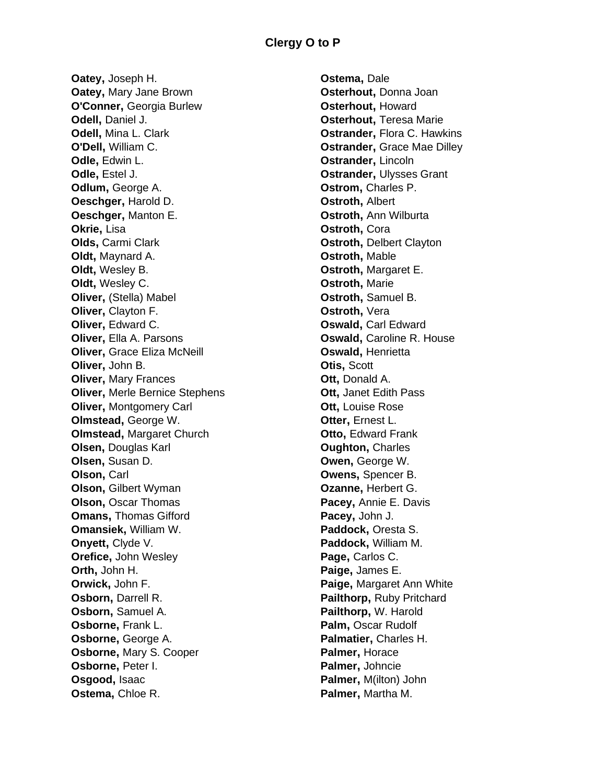**Oatey,** Joseph H. **Oatey,** Mary Jane Brown **O'Conner,** Georgia Burlew **Odell,** Daniel J. **Odell,** Mina L. Clark **O'Dell,** William C. **Odle,** Edwin L. **Odle,** Estel J. **Odlum,** George A. **Oeschger,** Harold D. **Oeschger,** Manton E. **Okrie,** Lisa **Olds,** Carmi Clark **Oldt,** Maynard A. **Oldt,** Wesley B. **Oldt,** Wesley C. **Oliver,** (Stella) Mabel **Oliver,** Clayton F. **Oliver, Edward C. Oliver,** Ella A. Parsons **Oliver,** Grace Eliza McNeill **Oliver,** John B. **Oliver,** Mary Frances **Oliver,** Merle Bernice Stephens **Oliver,** Montgomery Carl **Olmstead,** George W. **Olmstead,** Margaret Church **Olsen,** Douglas Karl **Olsen,** Susan D. **Olson,** Carl **Olson,** Gilbert Wyman **Olson,** Oscar Thomas **Omans,** Thomas Gifford **Omansiek,** William W. **Onyett,** Clyde V. **Orefice,** John Wesley **Orth,** John H. **Orwick,** John F. **Osborn,** Darrell R. **Osborn,** Samuel A. **Osborne,** Frank L. **Osborne,** George A. **Osborne,** Mary S. Cooper **Osborne,** Peter I. **Osgood,** Isaac **Ostema,** Chloe R.

**Ostema,** Dale **Osterhout,** Donna Joan **Osterhout,** Howard **Osterhout, Teresa Marie Ostrander,** Flora C. Hawkins **Ostrander, Grace Mae Dilley Ostrander,** Lincoln **Ostrander,** Ulysses Grant **Ostrom,** Charles P. **Ostroth,** Albert **Ostroth,** Ann Wilburta **Ostroth,** Cora **Ostroth,** Delbert Clayton **Ostroth,** Mable **Ostroth,** Margaret E. **Ostroth,** Marie **Ostroth,** Samuel B. **Ostroth,** Vera **Oswald,** Carl Edward **Oswald,** Caroline R. House **Oswald,** Henrietta **Otis,** Scott **Ott,** Donald A. **Ott,** Janet Edith Pass **Ott,** Louise Rose **Otter, Ernest L. Otto, Edward Frank Oughton,** Charles **Owen,** George W. **Owens,** Spencer B. **Ozanne,** Herbert G. **Pacey,** Annie E. Davis **Pacey,** John J. **Paddock,** Oresta S. **Paddock,** William M. Page, Carlos C. **Paige,** James E. **Paige,** Margaret Ann White **Pailthorp,** Ruby Pritchard **Pailthorp,** W. Harold **Palm,** Oscar Rudolf **Palmatier,** Charles H. **Palmer,** Horace **Palmer,** Johncie **Palmer,** M(ilton) John **Palmer,** Martha M.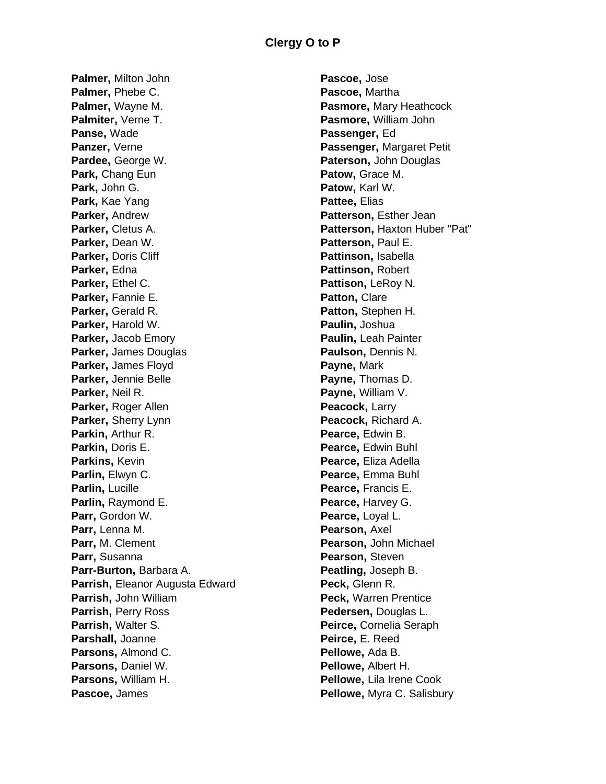**Palmer,** Milton John **Palmer,** Phebe C. **Palmer,** Wayne M. **Palmiter,** Verne T. **Panse,** Wade **Panzer,** Verne **Pardee,** George W. **Park,** Chang Eun **Park,** John G. **Park,** Kae Yang **Parker,** Andrew **Parker,** Cletus A. **Parker,** Dean W. **Parker,** Doris Cliff **Parker,** Edna **Parker,** Ethel C. **Parker,** Fannie E. **Parker,** Gerald R. **Parker,** Harold W. **Parker,** Jacob Emory **Parker,** James Douglas **Parker,** James Floyd **Parker,** Jennie Belle **Parker,** Neil R. **Parker, Roger Allen Parker,** Sherry Lynn **Parkin,** Arthur R. **Parkin,** Doris E. **Parkins,** Kevin **Parlin,** Elwyn C. **Parlin,** Lucille **Parlin,** Raymond E. **Parr,** Gordon W. **Parr,** Lenna M. **Parr,** M. Clement **Parr,** Susanna **Parr-Burton,** Barbara A. **Parrish,** Eleanor Augusta Edward **Parrish,** John William **Parrish,** Perry Ross **Parrish,** Walter S. **Parshall,** Joanne **Parsons,** Almond C. **Parsons,** Daniel W. **Parsons,** William H. **Pascoe,** James

**Pascoe,** Jose **Pascoe,** Martha **Pasmore,** Mary Heathcock **Pasmore,** William John **Passenger,** Ed **Passenger,** Margaret Petit **Paterson,** John Douglas **Patow,** Grace M. **Patow,** Karl W. **Pattee,** Elias **Patterson,** Esther Jean **Patterson,** Haxton Huber "Pat" **Patterson,** Paul E. **Pattinson,** Isabella **Pattinson,** Robert **Pattison,** LeRoy N. **Patton,** Clare **Patton,** Stephen H. **Paulin,** Joshua **Paulin,** Leah Painter **Paulson,** Dennis N. **Payne,** Mark **Payne,** Thomas D. **Payne,** William V. **Peacock,** Larry **Peacock,** Richard A. **Pearce,** Edwin B. **Pearce,** Edwin Buhl **Pearce, Eliza Adella Pearce,** Emma Buhl **Pearce,** Francis E. **Pearce,** Harvey G. **Pearce,** Loyal L. **Pearson,** Axel **Pearson,** John Michael **Pearson,** Steven **Peatling,** Joseph B. **Peck,** Glenn R. **Peck,** Warren Prentice **Pedersen,** Douglas L. **Peirce,** Cornelia Seraph **Peirce,** E. Reed **Pellowe,** Ada B. **Pellowe,** Albert H. **Pellowe,** Lila Irene Cook **Pellowe,** Myra C. Salisbury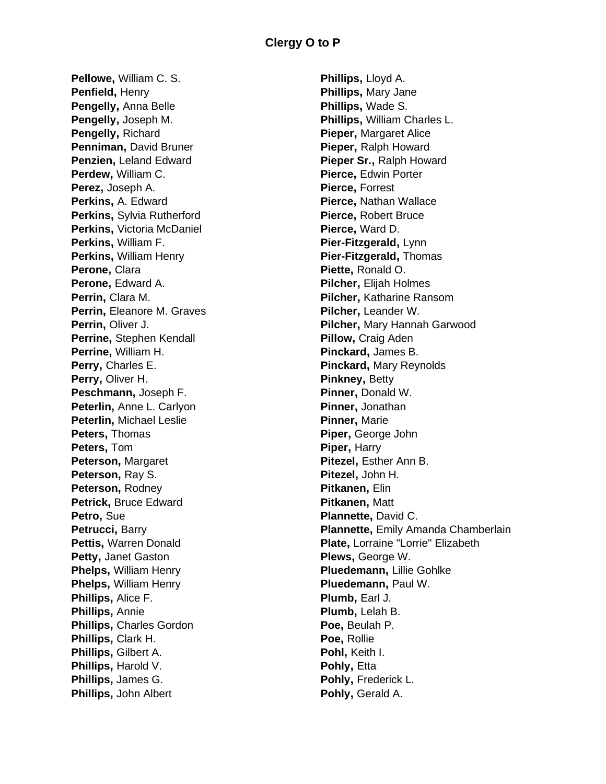**Pellowe,** William C. S. **Penfield,** Henry **Pengelly,** Anna Belle **Pengelly,** Joseph M. **Pengelly,** Richard **Penniman,** David Bruner **Penzien,** Leland Edward **Perdew,** William C. **Perez,** Joseph A. **Perkins,** A. Edward **Perkins,** Sylvia Rutherford **Perkins,** Victoria McDaniel **Perkins,** William F. **Perkins,** William Henry **Perone,** Clara **Perone,** Edward A. **Perrin,** Clara M. **Perrin,** Eleanore M. Graves **Perrin,** Oliver J. **Perrine,** Stephen Kendall **Perrine,** William H. **Perry,** Charles E. **Perry,** Oliver H. **Peschmann,** Joseph F. **Peterlin,** Anne L. Carlyon **Peterlin,** Michael Leslie **Peters,** Thomas **Peters,** Tom **Peterson,** Margaret **Peterson,** Ray S. **Peterson,** Rodney **Petrick,** Bruce Edward **Petro,** Sue **Petrucci,** Barry **Pettis,** Warren Donald **Petty,** Janet Gaston **Phelps,** William Henry **Phelps,** William Henry **Phillips,** Alice F. **Phillips,** Annie **Phillips,** Charles Gordon **Phillips,** Clark H. **Phillips,** Gilbert A. **Phillips,** Harold V. **Phillips,** James G. **Phillips,** John Albert

**Phillips,** Lloyd A. **Phillips,** Mary Jane **Phillips,** Wade S. **Phillips,** William Charles L. **Pieper,** Margaret Alice **Pieper,** Ralph Howard **Pieper Sr.,** Ralph Howard **Pierce,** Edwin Porter **Pierce,** Forrest **Pierce,** Nathan Wallace **Pierce,** Robert Bruce **Pierce,** Ward D. **Pier-Fitzgerald,** Lynn **Pier-Fitzgerald,** Thomas **Piette,** Ronald O. **Pilcher,** Elijah Holmes **Pilcher,** Katharine Ransom **Pilcher,** Leander W. **Pilcher,** Mary Hannah Garwood **Pillow, Craig Aden Pinckard,** James B. **Pinckard,** Mary Reynolds **Pinkney,** Betty **Pinner,** Donald W. **Pinner,** Jonathan **Pinner,** Marie **Piper,** George John **Piper,** Harry **Pitezel,** Esther Ann B. **Pitezel,** John H. **Pitkanen,** Elin **Pitkanen,** Matt **Plannette,** David C. **Plannette, Emily Amanda Chamberlain Plate,** Lorraine "Lorrie" Elizabeth **Plews,** George W. **Pluedemann,** Lillie Gohlke **Pluedemann,** Paul W. **Plumb,** Earl J. **Plumb,** Lelah B. **Poe,** Beulah P. **Poe,** Rollie **Pohl,** Keith I. **Pohly,** Etta **Pohly,** Frederick L. **Pohly,** Gerald A.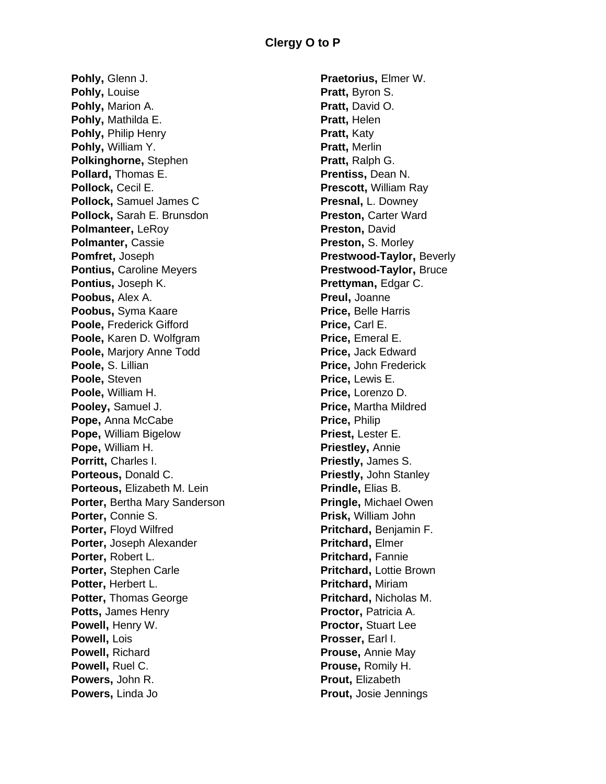**Pohly,** Glenn J. **Pohly,** Louise **Pohly,** Marion A. **Pohly,** Mathilda E. **Pohly,** Philip Henry **Pohly,** William Y. **Polkinghorne,** Stephen **Pollard,** Thomas E. **Pollock,** Cecil E. **Pollock,** Samuel James C **Pollock,** Sarah E. Brunsdon **Polmanteer,** LeRoy **Polmanter,** Cassie **Pomfret,** Joseph **Pontius,** Caroline Meyers **Pontius,** Joseph K. **Poobus,** Alex A. **Poobus,** Syma Kaare **Poole,** Frederick Gifford **Poole,** Karen D. Wolfgram **Poole,** Marjory Anne Todd **Poole,** S. Lillian **Poole,** Steven **Poole,** William H. **Pooley,** Samuel J. **Pope,** Anna McCabe **Pope,** William Bigelow **Pope,** William H. **Porritt,** Charles I. **Porteous,** Donald C. **Porteous,** Elizabeth M. Lein **Porter,** Bertha Mary Sanderson **Porter,** Connie S. **Porter,** Floyd Wilfred **Porter,** Joseph Alexander **Porter,** Robert L. **Porter,** Stephen Carle **Potter,** Herbert L. **Potter,** Thomas George **Potts,** James Henry **Powell,** Henry W. **Powell,** Lois **Powell,** Richard **Powell,** Ruel C. **Powers,** John R. **Powers,** Linda Jo

**Praetorius,** Elmer W. **Pratt,** Byron S. **Pratt,** David O. **Pratt,** Helen **Pratt,** Katy **Pratt,** Merlin **Pratt,** Ralph G. **Prentiss,** Dean N. **Prescott,** William Ray **Presnal,** L. Downey **Preston, Carter Ward Preston,** David **Preston,** S. Morley **Prestwood-Taylor,** Beverly **Prestwood-Taylor,** Bruce **Prettyman,** Edgar C. **Preul,** Joanne **Price,** Belle Harris **Price,** Carl E. **Price, Emeral E. Price,** Jack Edward **Price,** John Frederick **Price,** Lewis E. **Price,** Lorenzo D. **Price,** Martha Mildred **Price,** Philip **Priest,** Lester E. **Priestley,** Annie **Priestly,** James S. **Priestly,** John Stanley **Prindle,** Elias B. **Pringle,** Michael Owen **Prisk,** William John **Pritchard,** Benjamin F. **Pritchard,** Elmer **Pritchard,** Fannie **Pritchard,** Lottie Brown **Pritchard,** Miriam **Pritchard,** Nicholas M. **Proctor, Patricia A. Proctor,** Stuart Lee **Prosser,** Earl I. **Prouse,** Annie May **Prouse,** Romily H. **Prout,** Elizabeth **Prout,** Josie Jennings